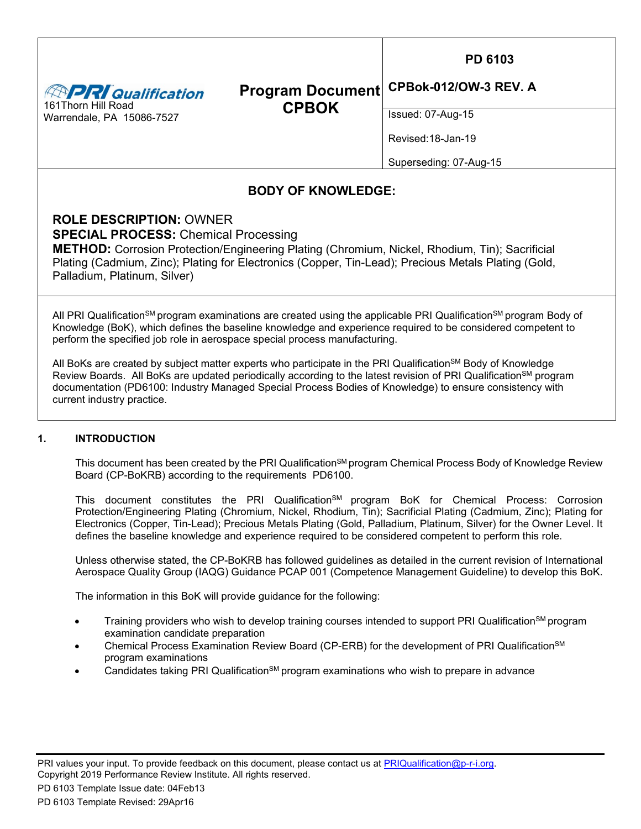**PRI**Qualification 161Thorn Hill Road Warrendale, PA 15086-7527

## **Program Document CPBOK CPBok-012/OW-3 REV. A**

Issued: 07-Aug-15

Revised:18-Jan-19

Superseding: 07-Aug-15

# **BODY OF KNOWLEDGE:**

**ROLE DESCRIPTION:** OWNER **SPECIAL PROCESS:** Chemical Processing

**METHOD:** Corrosion Protection/Engineering Plating (Chromium, Nickel, Rhodium, Tin); Sacrificial Plating (Cadmium, Zinc); Plating for Electronics (Copper, Tin-Lead); Precious Metals Plating (Gold, Palladium, Platinum, Silver)

All PRI Qualification<sup>SM</sup> program examinations are created using the applicable PRI Qualification<sup>SM</sup> program Body of Knowledge (BoK), which defines the baseline knowledge and experience required to be considered competent to perform the specified job role in aerospace special process manufacturing.

All BoKs are created by subject matter experts who participate in the PRI Qualification<sup>SM</sup> Body of Knowledge Review Boards. All BoKs are updated periodically according to the latest revision of PRI Qualification<sup>SM</sup> program documentation (PD6100: Industry Managed Special Process Bodies of Knowledge) to ensure consistency with current industry practice.

# **1. INTRODUCTION**

This document has been created by the PRI Qualification<sup>SM</sup> program Chemical Process Body of Knowledge Review Board (CP-BoKRB) according to the requirements PD6100.

This document constitutes the PRI Qualification<sup>§M</sup> program BoK for Chemical Process: Corrosion Protection/Engineering Plating (Chromium, Nickel, Rhodium, Tin); Sacrificial Plating (Cadmium, Zinc); Plating for Electronics (Copper, Tin-Lead); Precious Metals Plating (Gold, Palladium, Platinum, Silver) for the Owner Level. It defines the baseline knowledge and experience required to be considered competent to perform this role.

Unless otherwise stated, the CP-BoKRB has followed guidelines as detailed in the current revision of International Aerospace Quality Group (IAQG) Guidance PCAP 001 (Competence Management Guideline) to develop this BoK.

The information in this BoK will provide guidance for the following:

- Training providers who wish to develop training courses intended to support PRI Qualification<sup>SM</sup> program examination candidate preparation
- Chemical Process Examination Review Board (CP-ERB) for the development of PRI Qualification<sup>SM</sup> program examinations
- Candidates taking PRI Qualification<sup>SM</sup> program examinations who wish to prepare in advance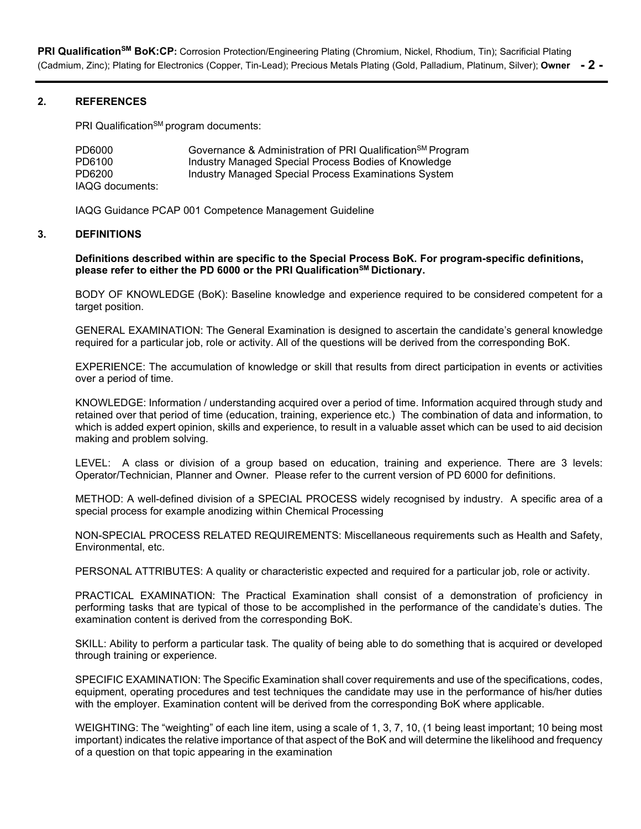**PRI QualificationSM BoK:CP:** Corrosion Protection/Engineering Plating (Chromium, Nickel, Rhodium, Tin); Sacrificial Plating (Cadmium, Zinc); Plating for Electronics (Copper, Tin-Lead); Precious Metals Plating (Gold, Palladium, Platinum, Silver); **Owner - 2 -**

#### **2. REFERENCES**

PRI Qualification<sup>SM</sup> program documents:

| PD6000          | Governance & Administration of PRI Qualification <sup>SM</sup> Program |
|-----------------|------------------------------------------------------------------------|
| PD6100          | Industry Managed Special Process Bodies of Knowledge                   |
| PD6200          | Industry Managed Special Process Examinations System                   |
| IAQG documents: |                                                                        |

IAQG Guidance PCAP 001 Competence Management Guideline

#### **3. DEFINITIONS**

**Definitions described within are specific to the Special Process BoK. For program-specific definitions,**  please refer to either the PD 6000 or the PRI Qualification<sup>SM</sup> Dictionary.

BODY OF KNOWLEDGE (BoK): Baseline knowledge and experience required to be considered competent for a target position.

GENERAL EXAMINATION: The General Examination is designed to ascertain the candidate's general knowledge required for a particular job, role or activity. All of the questions will be derived from the corresponding BoK.

EXPERIENCE: The accumulation of knowledge or skill that results from direct participation in events or activities over a period of time.

KNOWLEDGE: Information / understanding acquired over a period of time. Information acquired through study and retained over that period of time (education, training, experience etc.) The combination of data and information, to which is added expert opinion, skills and experience, to result in a valuable asset which can be used to aid decision making and problem solving.

LEVEL: A class or division of a group based on education, training and experience. There are 3 levels: Operator/Technician, Planner and Owner. Please refer to the current version of PD 6000 for definitions.

METHOD: A well-defined division of a SPECIAL PROCESS widely recognised by industry. A specific area of a special process for example anodizing within Chemical Processing

NON-SPECIAL PROCESS RELATED REQUIREMENTS: Miscellaneous requirements such as Health and Safety, Environmental, etc.

PERSONAL ATTRIBUTES: A quality or characteristic expected and required for a particular job, role or activity.

PRACTICAL EXAMINATION: The Practical Examination shall consist of a demonstration of proficiency in performing tasks that are typical of those to be accomplished in the performance of the candidate's duties. The examination content is derived from the corresponding BoK.

SKILL: Ability to perform a particular task. The quality of being able to do something that is acquired or developed through training or experience.

SPECIFIC EXAMINATION: The Specific Examination shall cover requirements and use of the specifications, codes, equipment, operating procedures and test techniques the candidate may use in the performance of his/her duties with the employer. Examination content will be derived from the corresponding BoK where applicable.

WEIGHTING: The "weighting" of each line item, using a scale of 1, 3, 7, 10, (1 being least important; 10 being most important) indicates the relative importance of that aspect of the BoK and will determine the likelihood and frequency of a question on that topic appearing in the examination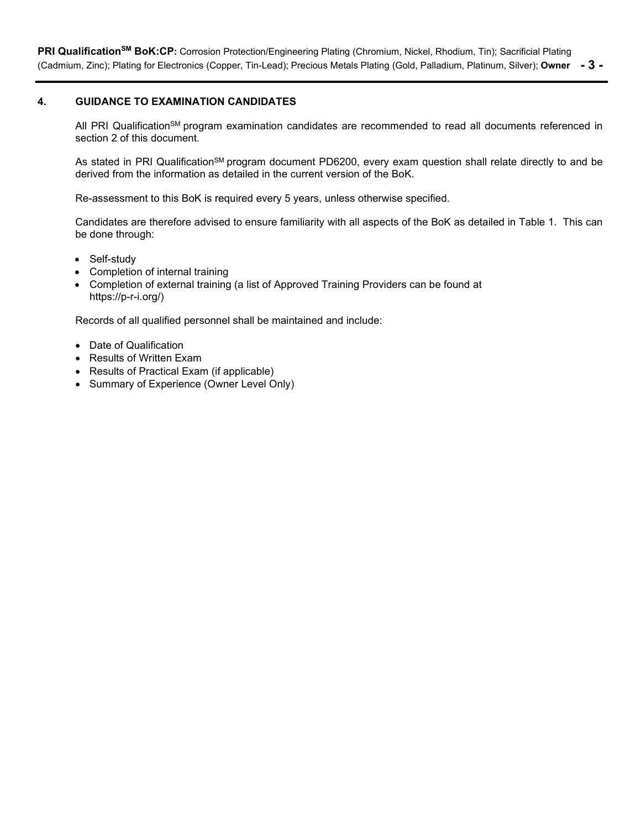PRI Qualification<sup>SM</sup> BoK:CP: Corrosion Protection/Engineering Plating (Chromium, Nickel, Rhodium, Tin); Sacrificial Plating (Cadmium, Zinc); Plating for Electronics (Copper, Tin-Lead); Precious Metals Plating (Gold, Palladium, Platinum, Silver); **Owner - 3 -**

### **4. GUIDANCE TO EXAMINATION CANDIDATES**

All PRI Qualification<sup>SM</sup> program examination candidates are recommended to read all documents referenced in section 2 of this document.

As stated in PRI Qualification<sup>SM</sup> program document PD6200, every exam question shall relate directly to and be derived from the information as detailed in the current version of the BoK.

Re-assessment to this BoK is required every 5 years, unless otherwise specified.

Candidates are therefore advised to ensure familiarity with all aspects of the BoK as detailed in Table 1. This can be done through:

- Self-study
- Completion of internal training
- Completion of external training (a list of Approved Training Providers can be found at https://p-r-i.org/)

Records of all qualified personnel shall be maintained and include:

- Date of Qualification
- Results of Written Exam
- Results of Practical Exam (if applicable)
- Summary of Experience (Owner Level Only)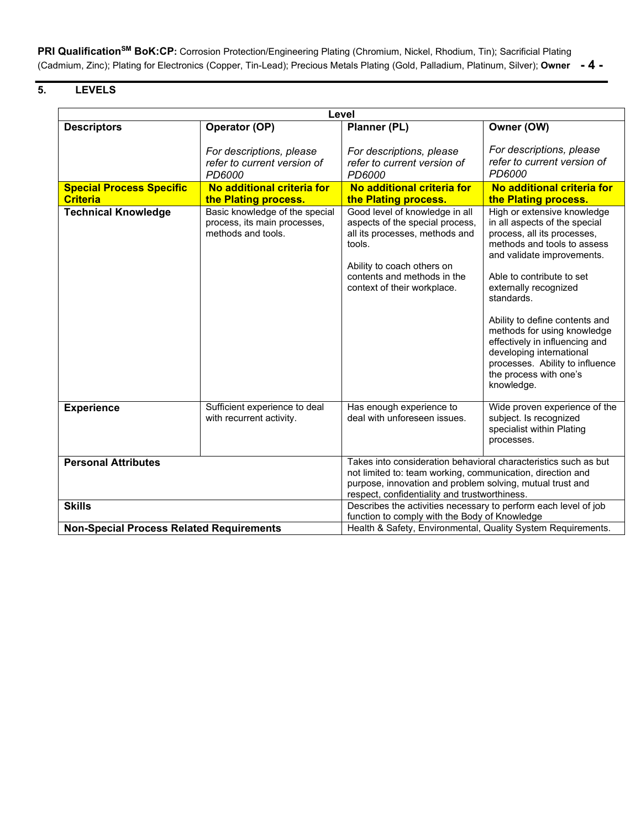**PRI QualificationSM BoK:CP:** Corrosion Protection/Engineering Plating (Chromium, Nickel, Rhodium, Tin); Sacrificial Plating (Cadmium, Zinc); Plating for Electronics (Copper, Tin-Lead); Precious Metals Plating (Gold, Palladium, Platinum, Silver); **Owner - 4 -**

# **5. LEVELS**

| Level                                           |                                                                                                                  |                                                                                                                                                                                                           |                                                                                                                                                                                                                                                                                                                                                                                                                                        |  |  |
|-------------------------------------------------|------------------------------------------------------------------------------------------------------------------|-----------------------------------------------------------------------------------------------------------------------------------------------------------------------------------------------------------|----------------------------------------------------------------------------------------------------------------------------------------------------------------------------------------------------------------------------------------------------------------------------------------------------------------------------------------------------------------------------------------------------------------------------------------|--|--|
| <b>Descriptors</b>                              | Operator (OP)                                                                                                    | Planner (PL)                                                                                                                                                                                              | Owner (OW)                                                                                                                                                                                                                                                                                                                                                                                                                             |  |  |
|                                                 | For descriptions, please<br>refer to current version of<br>PD6000                                                | For descriptions, please<br>refer to current version of<br>PD6000                                                                                                                                         | For descriptions, please<br>refer to current version of<br>PD6000                                                                                                                                                                                                                                                                                                                                                                      |  |  |
| <b>Special Process Specific</b>                 | No additional criteria for                                                                                       | No additional criteria for                                                                                                                                                                                | No additional criteria for                                                                                                                                                                                                                                                                                                                                                                                                             |  |  |
| <b>Criteria</b>                                 | the Plating process.                                                                                             | the Plating process.                                                                                                                                                                                      | the Plating process.                                                                                                                                                                                                                                                                                                                                                                                                                   |  |  |
| <b>Technical Knowledge</b>                      | Basic knowledge of the special<br>process, its main processes,<br>methods and tools.                             | Good level of knowledge in all<br>aspects of the special process,<br>all its processes, methods and<br>tools.<br>Ability to coach others on<br>contents and methods in the<br>context of their workplace. | High or extensive knowledge<br>in all aspects of the special<br>process, all its processes,<br>methods and tools to assess<br>and validate improvements.<br>Able to contribute to set<br>externally recognized<br>standards.<br>Ability to define contents and<br>methods for using knowledge<br>effectively in influencing and<br>developing international<br>processes. Ability to influence<br>the process with one's<br>knowledge. |  |  |
| <b>Experience</b>                               | Sufficient experience to deal<br>with recurrent activity.                                                        | Has enough experience to<br>deal with unforeseen issues.                                                                                                                                                  | Wide proven experience of the<br>subject. Is recognized<br>specialist within Plating<br>processes.                                                                                                                                                                                                                                                                                                                                     |  |  |
| <b>Personal Attributes</b>                      |                                                                                                                  | Takes into consideration behavioral characteristics such as but                                                                                                                                           |                                                                                                                                                                                                                                                                                                                                                                                                                                        |  |  |
|                                                 |                                                                                                                  | not limited to: team working, communication, direction and<br>purpose, innovation and problem solving, mutual trust and<br>respect, confidentiality and trustworthiness.                                  |                                                                                                                                                                                                                                                                                                                                                                                                                                        |  |  |
| <b>Skills</b>                                   | Describes the activities necessary to perform each level of job<br>function to comply with the Body of Knowledge |                                                                                                                                                                                                           |                                                                                                                                                                                                                                                                                                                                                                                                                                        |  |  |
| <b>Non-Special Process Related Requirements</b> |                                                                                                                  | Health & Safety, Environmental, Quality System Requirements.                                                                                                                                              |                                                                                                                                                                                                                                                                                                                                                                                                                                        |  |  |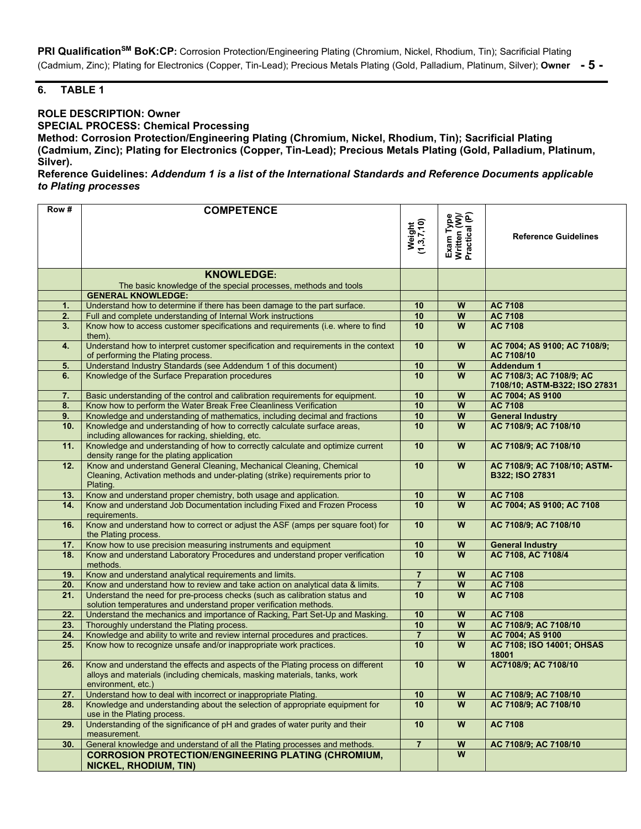PRI Qualification<sup>SM</sup> BoK:CP: Corrosion Protection/Engineering Plating (Chromium, Nickel, Rhodium, Tin); Sacrificial Plating (Cadmium, Zinc); Plating for Electronics (Copper, Tin-Lead); Precious Metals Plating (Gold, Palladium, Platinum, Silver); **Owner - 5 -**

## **6. TABLE 1**

#### **ROLE DESCRIPTION: Owner**

**SPECIAL PROCESS: Chemical Processing**

**Method: Corrosion Protection/Engineering Plating (Chromium, Nickel, Rhodium, Tin); Sacrificial Plating (Cadmium, Zinc); Plating for Electronics (Copper, Tin-Lead); Precious Metals Plating (Gold, Palladium, Platinum, Silver).** 

**Reference Guidelines:** *Addendum 1 is a list of the International Standards and Reference Documents applicable to Plating processes*

| Row#            |                                                                                                                                                                                    |                      |                                            |                                                           |
|-----------------|------------------------------------------------------------------------------------------------------------------------------------------------------------------------------------|----------------------|--------------------------------------------|-----------------------------------------------------------|
|                 | <b>COMPETENCE</b>                                                                                                                                                                  | Weight<br>(1,3,7,10) | Exam Type<br>Written (W)/<br>Practical (P) | <b>Reference Guidelines</b>                               |
|                 | <b>KNOWLEDGE:</b>                                                                                                                                                                  |                      |                                            |                                                           |
|                 | The basic knowledge of the special processes, methods and tools                                                                                                                    |                      |                                            |                                                           |
|                 | <b>GENERAL KNOWLEDGE:</b>                                                                                                                                                          |                      |                                            |                                                           |
| 1.              | Understand how to determine if there has been damage to the part surface.                                                                                                          | 10                   | W                                          | <b>AC 7108</b>                                            |
| 2.              | Full and complete understanding of Internal Work instructions                                                                                                                      | 10                   | $\overline{\mathsf{w}}$                    | AC 7108                                                   |
| 3.              | Know how to access customer specifications and requirements (i.e. where to find<br>them).                                                                                          | 10                   | W                                          | <b>AC 7108</b>                                            |
| 4.              | Understand how to interpret customer specification and requirements in the context<br>of performing the Plating process.                                                           | 10                   | W                                          | AC 7004; AS 9100; AC 7108/9;<br>AC 7108/10                |
| 5.              | Understand Industry Standards (see Addendum 1 of this document)                                                                                                                    | 10                   | $\boldsymbol{\mathsf{W}}$                  | <b>Addendum 1</b>                                         |
| 6.              | Knowledge of the Surface Preparation procedures                                                                                                                                    | 10                   | $\overline{w}$                             | AC 7108/3; AC 7108/9; AC<br>7108/10; ASTM-B322; ISO 27831 |
| 7.              | Basic understanding of the control and calibration requirements for equipment.                                                                                                     | 10                   | W                                          | AC 7004; AS 9100                                          |
| 8.              | Know how to perform the Water Break Free Cleanliness Verification                                                                                                                  | 10                   | $\overline{\mathsf{w}}$                    | AC 7108                                                   |
| 9.              | Knowledge and understanding of mathematics, including decimal and fractions                                                                                                        | 10                   | $\boldsymbol{\mathsf{W}}$                  | <b>General Industry</b>                                   |
| 10 <sub>1</sub> | Knowledge and understanding of how to correctly calculate surface areas,<br>including allowances for racking, shielding, etc.                                                      | 10                   | $\overline{w}$                             | AC 7108/9; AC 7108/10                                     |
| 11.             | Knowledge and understanding of how to correctly calculate and optimize current<br>density range for the plating application                                                        | 10                   | W                                          | AC 7108/9; AC 7108/10                                     |
| 12.             | Know and understand General Cleaning, Mechanical Cleaning, Chemical<br>Cleaning, Activation methods and under-plating (strike) requirements prior to<br>Plating.                   | 10                   | ${\bf W}$                                  | AC 7108/9; AC 7108/10; ASTM-<br>B322; ISO 27831           |
| 13.             | Know and understand proper chemistry, both usage and application.                                                                                                                  | 10                   | $\boldsymbol{\mathsf{W}}$                  | AC 7108                                                   |
| 14.             | Know and understand Job Documentation including Fixed and Frozen Process<br>requirements.                                                                                          | 10                   | W                                          | AC 7004; AS 9100; AC 7108                                 |
| 16.             | Know and understand how to correct or adjust the ASF (amps per square foot) for<br>the Plating process.                                                                            | 10                   | $\boldsymbol{\mathsf{W}}$                  | AC 7108/9; AC 7108/10                                     |
| 17.             | Know how to use precision measuring instruments and equipment                                                                                                                      | 10                   | W                                          | <b>General Industry</b>                                   |
| 18.             | Know and understand Laboratory Procedures and understand proper verification<br>methods.                                                                                           | 10                   | $\overline{w}$                             | AC 7108, AC 7108/4                                        |
| 19.             | Know and understand analytical requirements and limits.                                                                                                                            | $\overline{7}$       | W                                          | <b>AC 7108</b>                                            |
| 20.             | Know and understand how to review and take action on analytical data & limits.                                                                                                     | $\overline{7}$       | W                                          | <b>AC 7108</b>                                            |
| 21.             | Understand the need for pre-process checks (such as calibration status and<br>solution temperatures and understand proper verification methods.                                    | 10                   | W                                          | AC 7108                                                   |
| 22.             | Understand the mechanics and importance of Racking, Part Set-Up and Masking.                                                                                                       | 10                   | W                                          | <b>AC 7108</b>                                            |
| 23.             | Thoroughly understand the Plating process.                                                                                                                                         | 10                   | W                                          | AC 7108/9; AC 7108/10                                     |
| 24.             | Knowledge and ability to write and review internal procedures and practices.                                                                                                       | $\overline{7}$       | W                                          | AC 7004; AS 9100                                          |
| 25.             | Know how to recognize unsafe and/or inappropriate work practices.                                                                                                                  | 10                   | W                                          | AC 7108; ISO 14001; OHSAS<br>18001                        |
| 26.             | Know and understand the effects and aspects of the Plating process on different<br>alloys and materials (including chemicals, masking materials, tanks, work<br>environment, etc.) | 10                   | W                                          | AC7108/9; AC 7108/10                                      |
| 27.             | Understand how to deal with incorrect or inappropriate Plating.                                                                                                                    | 10                   | $\boldsymbol{\mathsf{W}}$                  | AC 7108/9; AC 7108/10                                     |
| 28.             | Knowledge and understanding about the selection of appropriate equipment for<br>use in the Plating process.                                                                        | 10                   | W                                          | AC 7108/9; AC 7108/10                                     |
| 29.             | Understanding of the significance of pH and grades of water purity and their<br>measurement.                                                                                       | 10                   | $\overline{w}$                             | <b>AC 7108</b>                                            |
| 30.             | General knowledge and understand of all the Plating processes and methods.                                                                                                         | $\bf 7$              | W                                          | AC 7108/9; AC 7108/10                                     |
|                 | <b>CORROSION PROTECTION/ENGINEERING PLATING (CHROMIUM,</b><br><b>NICKEL, RHODIUM, TIN)</b>                                                                                         |                      | W                                          |                                                           |
|                 |                                                                                                                                                                                    |                      |                                            |                                                           |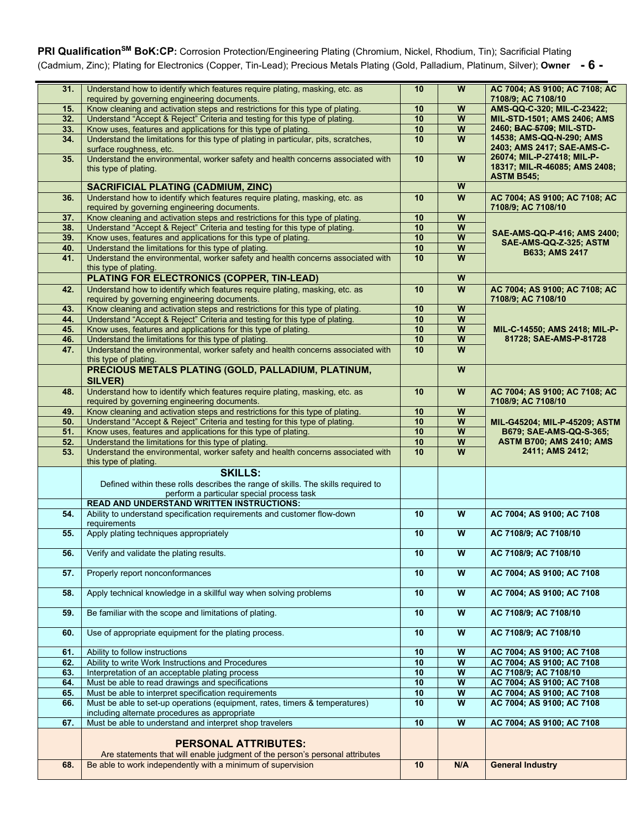# PRI Qualification<sup>SM</sup> BoK:CP: Corrosion Protection/Engineering Plating (Chromium, Nickel, Rhodium, Tin); Sacrificial Plating (Cadmium, Zinc); Plating for Electronics (Copper, Tin-Lead); Precious Metals Plating (Gold, Palladium, Platinum, Silver); **Owner - 6 -**

| 31.             |                                                                                                                             |                 |                           |                                                     |
|-----------------|-----------------------------------------------------------------------------------------------------------------------------|-----------------|---------------------------|-----------------------------------------------------|
|                 | Understand how to identify which features require plating, masking, etc. as<br>required by governing engineering documents. | 10              | W                         | AC 7004; AS 9100; AC 7108; AC<br>7108/9; AC 7108/10 |
|                 | Know cleaning and activation steps and restrictions for this type of plating.                                               | 10              | W                         |                                                     |
| 15.             |                                                                                                                             |                 |                           | AMS-QQ-C-320; MIL-C-23422;                          |
| 32.             | Understand "Accept & Reject" Criteria and testing for this type of plating.                                                 | 10              | W                         | <b>MIL-STD-1501; AMS 2406; AMS</b>                  |
| 33.             | Know uses, features and applications for this type of plating.                                                              | 10              | W                         | 2460; BAC 5709; MIL-STD-                            |
|                 |                                                                                                                             |                 |                           | 14538; AMS-QQ-N-290; AMS                            |
| 34.             | Understand the limitations for this type of plating in particular, pits, scratches,                                         | 10              | W                         |                                                     |
|                 | surface roughness, etc.                                                                                                     |                 |                           | 2403; AMS 2417; SAE-AMS-C-                          |
| 35.             | Understand the environmental, worker safety and health concerns associated with                                             | 10              | W                         | 26074; MIL-P-27418; MIL-P-                          |
|                 |                                                                                                                             |                 |                           | 18317; MIL-R-46085; AMS 2408;                       |
|                 | this type of plating.                                                                                                       |                 |                           |                                                     |
|                 |                                                                                                                             |                 |                           | <b>ASTM B545;</b>                                   |
|                 | <b>SACRIFICIAL PLATING (CADMIUM, ZINC)</b>                                                                                  |                 | W                         |                                                     |
| 36.             | Understand how to identify which features require plating, masking, etc. as                                                 | 10              | W                         | AC 7004; AS 9100; AC 7108; AC                       |
|                 |                                                                                                                             |                 |                           |                                                     |
|                 | required by governing engineering documents.                                                                                |                 |                           | 7108/9; AC 7108/10                                  |
| 37 <sub>1</sub> | Know cleaning and activation steps and restrictions for this type of plating.                                               | 10              | W                         |                                                     |
| 38.             | Understand "Accept & Reject" Criteria and testing for this type of plating.                                                 | 10              | W                         |                                                     |
|                 |                                                                                                                             |                 |                           | SAE-AMS-QQ-P-416; AMS 2400;                         |
| 39.             | Know uses, features and applications for this type of plating.                                                              | 10              | W                         | SAE-AMS-QQ-Z-325; ASTM                              |
| 40.             | Understand the limitations for this type of plating.                                                                        | 10              | $\boldsymbol{\mathsf{W}}$ |                                                     |
| 41.             | Understand the environmental, worker safety and health concerns associated with                                             | 10 <sup>1</sup> | W                         | B633; AMS 2417                                      |
|                 |                                                                                                                             |                 |                           |                                                     |
|                 | this type of plating.                                                                                                       |                 |                           |                                                     |
|                 | PLATING FOR ELECTRONICS (COPPER, TIN-LEAD)                                                                                  |                 | W                         |                                                     |
|                 | Understand how to identify which features require plating, masking, etc. as                                                 | 10              | W                         | AC 7004; AS 9100; AC 7108; AC                       |
| 42.             |                                                                                                                             |                 |                           |                                                     |
|                 | required by governing engineering documents.                                                                                |                 |                           | 7108/9; AC 7108/10                                  |
| 43.             | Know cleaning and activation steps and restrictions for this type of plating.                                               | 10              | W                         |                                                     |
| 44.             | Understand "Accept & Reject" Criteria and testing for this type of plating.                                                 | 10              | W                         |                                                     |
|                 |                                                                                                                             |                 |                           |                                                     |
| 45.             | Know uses, features and applications for this type of plating.                                                              | 10              | W                         | MIL-C-14550; AMS 2418; MIL-P-                       |
| 46.             | Understand the limitations for this type of plating.                                                                        | 10              | W                         | 81728; SAE-AMS-P-81728                              |
| 47.             | Understand the environmental, worker safety and health concerns associated with                                             | 10              | W                         |                                                     |
|                 |                                                                                                                             |                 |                           |                                                     |
|                 | this type of plating.                                                                                                       |                 |                           |                                                     |
|                 | PRECIOUS METALS PLATING (GOLD, PALLADIUM, PLATINUM,                                                                         |                 | W                         |                                                     |
|                 | <b>SILVER)</b>                                                                                                              |                 |                           |                                                     |
|                 |                                                                                                                             |                 |                           |                                                     |
| 48.             | Understand how to identify which features require plating, masking, etc. as                                                 | 10              | $\overline{w}$            | AC 7004; AS 9100; AC 7108; AC                       |
|                 | required by governing engineering documents.                                                                                |                 |                           | 7108/9; AC 7108/10                                  |
| 49.             | Know cleaning and activation steps and restrictions for this type of plating.                                               | 10              | W                         |                                                     |
|                 |                                                                                                                             |                 |                           |                                                     |
| 50.             | Understand "Accept & Reject" Criteria and testing for this type of plating.                                                 | 10              | W                         | MIL-G45204; MIL-P-45209; ASTM                       |
| 51.             | Know uses, features and applications for this type of plating.                                                              | 10              | $\boldsymbol{\mathsf{W}}$ | B679; SAE-AMS-QQ-S-365;                             |
| 52.             | Understand the limitations for this type of plating.                                                                        | 10              | $\overline{\mathsf{w}}$   | <b>ASTM B700; AMS 2410; AMS</b>                     |
| 53.             |                                                                                                                             | 10              | $\overline{w}$            | 2411; AMS 2412;                                     |
|                 | Understand the environmental, worker safety and health concerns associated with                                             |                 |                           |                                                     |
|                 | this type of plating.                                                                                                       |                 |                           |                                                     |
|                 | <b>SKILLS:</b>                                                                                                              |                 |                           |                                                     |
|                 |                                                                                                                             |                 |                           |                                                     |
|                 | Defined within these rolls describes the range of skills. The skills required to                                            |                 |                           |                                                     |
|                 | perform a particular special process task                                                                                   |                 |                           |                                                     |
|                 |                                                                                                                             |                 |                           |                                                     |
|                 |                                                                                                                             |                 |                           |                                                     |
|                 | <b>READ AND UNDERSTAND WRITTEN INSTRUCTIONS:</b>                                                                            |                 |                           |                                                     |
| 54.             | Ability to understand specification requirements and customer flow-down                                                     | 10              | ${\bf W}$                 | AC 7004; AS 9100; AC 7108                           |
|                 | requirements                                                                                                                |                 |                           |                                                     |
| 55.             | Apply plating techniques appropriately                                                                                      | 10              | $\overline{\mathsf{w}}$   | AC 7108/9; AC 7108/10                               |
|                 |                                                                                                                             |                 |                           |                                                     |
|                 |                                                                                                                             |                 |                           |                                                     |
| 56.             | Verify and validate the plating results.                                                                                    | 10              | W                         | AC 7108/9; AC 7108/10                               |
|                 |                                                                                                                             |                 |                           |                                                     |
| 57.             | Properly report nonconformances                                                                                             | 10              | $\overline{w}$            | AC 7004; AS 9100; AC 7108                           |
|                 |                                                                                                                             |                 |                           |                                                     |
|                 |                                                                                                                             |                 |                           |                                                     |
| 58.             | Apply technical knowledge in a skillful way when solving problems                                                           | 10              | $\overline{\mathbf{W}}$   | AC 7004; AS 9100; AC 7108                           |
|                 |                                                                                                                             |                 |                           |                                                     |
|                 |                                                                                                                             |                 |                           |                                                     |
| 59.             | Be familiar with the scope and limitations of plating.                                                                      | 10              | $\overline{\mathbf{W}}$   | AC 7108/9; AC 7108/10                               |
|                 |                                                                                                                             |                 |                           |                                                     |
| 60.             | Use of appropriate equipment for the plating process.                                                                       | 10              | $\overline{\mathbf{W}}$   | AC 7108/9; AC 7108/10                               |
|                 |                                                                                                                             |                 |                           |                                                     |
|                 |                                                                                                                             |                 |                           |                                                     |
| 61.             | Ability to follow instructions                                                                                              | 10              | W                         | AC 7004; AS 9100; AC 7108                           |
| 62.             | Ability to write Work Instructions and Procedures                                                                           | 10              | $\overline{w}$            | AC 7004; AS 9100; AC 7108                           |
| 63.             | Interpretation of an acceptable plating process                                                                             | 10              | $\overline{\mathbf{W}}$   | AC 7108/9; AC 7108/10                               |
| 64.             |                                                                                                                             |                 |                           |                                                     |
|                 | Must be able to read drawings and specifications                                                                            | 10              | $\overline{\mathbf{W}}$   | AC 7004; AS 9100; AC 7108                           |
| 65.             | Must be able to interpret specification requirements                                                                        | 10              | W                         | AC 7004; AS 9100; AC 7108                           |
| 66.             | Must be able to set-up operations (equipment, rates, timers & temperatures)                                                 | 10              | $\overline{w}$            | AC 7004; AS 9100; AC 7108                           |
|                 | including alternate procedures as appropriate                                                                               |                 |                           |                                                     |
|                 |                                                                                                                             |                 |                           |                                                     |
| 67.             | Must be able to understand and interpret shop travelers                                                                     | 10              | $\overline{w}$            | AC 7004; AS 9100; AC 7108                           |
|                 |                                                                                                                             |                 |                           |                                                     |
|                 |                                                                                                                             |                 |                           |                                                     |
|                 | <b>PERSONAL ATTRIBUTES:</b>                                                                                                 |                 |                           |                                                     |
|                 | Are statements that will enable judgment of the person's personal attributes                                                |                 |                           |                                                     |
| 68.             | Be able to work independently with a minimum of supervision                                                                 | 10              | N/A                       | <b>General Industry</b>                             |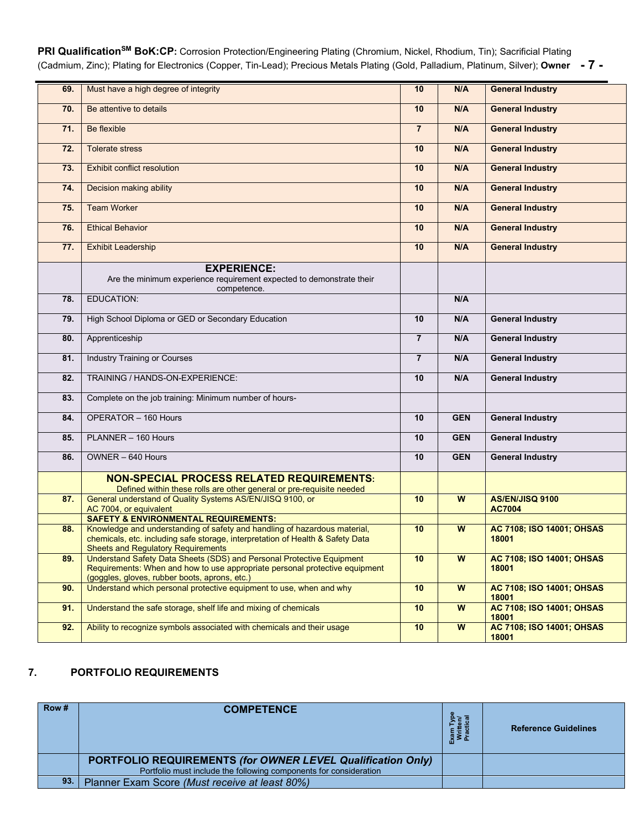**PRI QualificationSM BoK:CP:** Corrosion Protection/Engineering Plating (Chromium, Nickel, Rhodium, Tin); Sacrificial Plating (Cadmium, Zinc); Plating for Electronics (Copper, Tin-Lead); Precious Metals Plating (Gold, Palladium, Platinum, Silver); **Owner - 7 -**

| 69. | Must have a high degree of integrity                                                                                                                                                                     | 10             | N/A                     | <b>General Industry</b>            |
|-----|----------------------------------------------------------------------------------------------------------------------------------------------------------------------------------------------------------|----------------|-------------------------|------------------------------------|
| 70. | Be attentive to details                                                                                                                                                                                  |                | N/A                     | <b>General Industry</b>            |
| 71. | Be flexible                                                                                                                                                                                              | $\overline{7}$ | N/A                     | <b>General Industry</b>            |
| 72. | <b>Tolerate stress</b>                                                                                                                                                                                   | 10             | N/A                     | <b>General Industry</b>            |
| 73. | <b>Exhibit conflict resolution</b>                                                                                                                                                                       | 10             | N/A                     | <b>General Industry</b>            |
| 74. | Decision making ability                                                                                                                                                                                  | 10             | N/A                     | <b>General Industry</b>            |
| 75. | <b>Team Worker</b>                                                                                                                                                                                       | 10             | N/A                     | <b>General Industry</b>            |
| 76. | <b>Ethical Behavior</b>                                                                                                                                                                                  | 10             | N/A                     | <b>General Industry</b>            |
| 77. | <b>Exhibit Leadership</b>                                                                                                                                                                                | 10             | N/A                     | <b>General Industry</b>            |
|     | <b>EXPERIENCE:</b>                                                                                                                                                                                       |                |                         |                                    |
|     | Are the minimum experience requirement expected to demonstrate their<br>competence.                                                                                                                      |                |                         |                                    |
| 78. | <b>EDUCATION:</b>                                                                                                                                                                                        |                | N/A                     |                                    |
| 79. | High School Diploma or GED or Secondary Education                                                                                                                                                        | 10             | N/A                     | <b>General Industry</b>            |
| 80. | Apprenticeship                                                                                                                                                                                           | $\overline{7}$ | N/A                     | <b>General Industry</b>            |
| 81. | <b>Industry Training or Courses</b>                                                                                                                                                                      | $\overline{7}$ | N/A                     | <b>General Industry</b>            |
| 82. | TRAINING / HANDS-ON-EXPERIENCE:                                                                                                                                                                          | 10             | N/A                     | <b>General Industry</b>            |
| 83. | Complete on the job training: Minimum number of hours-                                                                                                                                                   |                |                         |                                    |
| 84. | OPERATOR - 160 Hours                                                                                                                                                                                     | 10             | <b>GEN</b>              | <b>General Industry</b>            |
| 85. | PLANNER - 160 Hours                                                                                                                                                                                      | 10             | <b>GEN</b>              | <b>General Industry</b>            |
| 86. | OWNER - 640 Hours                                                                                                                                                                                        | 10             | <b>GEN</b>              | <b>General Industry</b>            |
|     | <b>NON-SPECIAL PROCESS RELATED REQUIREMENTS:</b>                                                                                                                                                         |                |                         |                                    |
|     |                                                                                                                                                                                                          |                |                         |                                    |
| 87. | Defined within these rolls are other general or pre-requisite needed<br>General understand of Quality Systems AS/EN/JISQ 9100, or                                                                        | 10             | $\overline{w}$          | AS/EN/JISQ 9100                    |
|     |                                                                                                                                                                                                          |                |                         | <b>AC7004</b>                      |
|     | AC 7004, or equivalent                                                                                                                                                                                   |                |                         |                                    |
|     | <b>SAFETY &amp; ENVIRONMENTAL REQUIREMENTS:</b>                                                                                                                                                          |                |                         |                                    |
| 88. | Knowledge and understanding of safety and handling of hazardous material,<br>chemicals, etc. including safe storage, interpretation of Health & Safety Data<br><b>Sheets and Regulatory Requirements</b> | 10             | ${\bf W}$               | AC 7108; ISO 14001; OHSAS<br>18001 |
| 89. | Understand Safety Data Sheets (SDS) and Personal Protective Equipment                                                                                                                                    | 10             | W                       | AC 7108; ISO 14001; OHSAS          |
|     | Requirements: When and how to use appropriate personal protective equipment<br>(goggles, gloves, rubber boots, aprons, etc.)                                                                             |                |                         | 18001                              |
| 90. | Understand which personal protective equipment to use, when and why                                                                                                                                      | 10             | ${\bf W}$               | AC 7108; ISO 14001; OHSAS<br>18001 |
| 91. | Understand the safe storage, shelf life and mixing of chemicals                                                                                                                                          | 10             | W                       | AC 7108; ISO 14001; OHSAS<br>18001 |
| 92. | Ability to recognize symbols associated with chemicals and their usage                                                                                                                                   | 10             | $\overline{\mathbf{w}}$ | AC 7108; ISO 14001; OHSAS<br>18001 |

### **7. PORTFOLIO REQUIREMENTS**

| Row# | <b>COMPETENCE</b>                                                  | - 동 프<br>ᄻ | <b>Reference Guidelines</b> |
|------|--------------------------------------------------------------------|------------|-----------------------------|
|      | <b>PORTFOLIO REQUIREMENTS (for OWNER LEVEL Qualification Only)</b> |            |                             |
|      | Portfolio must include the following components for consideration  |            |                             |
| 93.  | Planner Exam Score (Must receive at least 80%)                     |            |                             |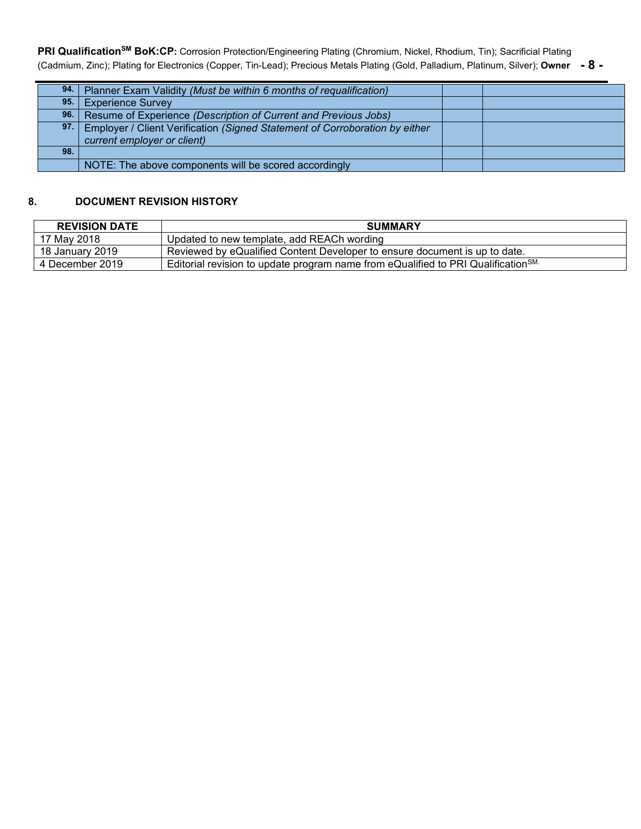**PRI QualificationSM BoK:CP:** Corrosion Protection/Engineering Plating (Chromium, Nickel, Rhodium, Tin); Sacrificial Plating (Cadmium, Zinc); Plating for Electronics (Copper, Tin-Lead); Precious Metals Plating (Gold, Palladium, Platinum, Silver); **Owner - 8 -**

|     | 94. Planner Exam Validity (Must be within 6 months of requalification)                                         |  |
|-----|----------------------------------------------------------------------------------------------------------------|--|
| 95. | <b>Experience Survey</b>                                                                                       |  |
|     | 96. Resume of Experience (Description of Current and Previous Jobs)                                            |  |
|     | 97. Employer / Client Verification (Signed Statement of Corroboration by either<br>current employer or client) |  |
| 98. |                                                                                                                |  |
|     | NOTE: The above components will be scored accordingly                                                          |  |

## **8. DOCUMENT REVISION HISTORY**

| <b>REVISION DATE</b>                                                                                             | <b>SUMMARY</b>                                                             |  |
|------------------------------------------------------------------------------------------------------------------|----------------------------------------------------------------------------|--|
| 17 May 2018                                                                                                      | Updated to new template, add REACh wording                                 |  |
| 18 January 2019                                                                                                  | Reviewed by eQualified Content Developer to ensure document is up to date. |  |
| Editorial revision to update program name from eQualified to PRI Qualification <sup>SM.</sup><br>4 December 2019 |                                                                            |  |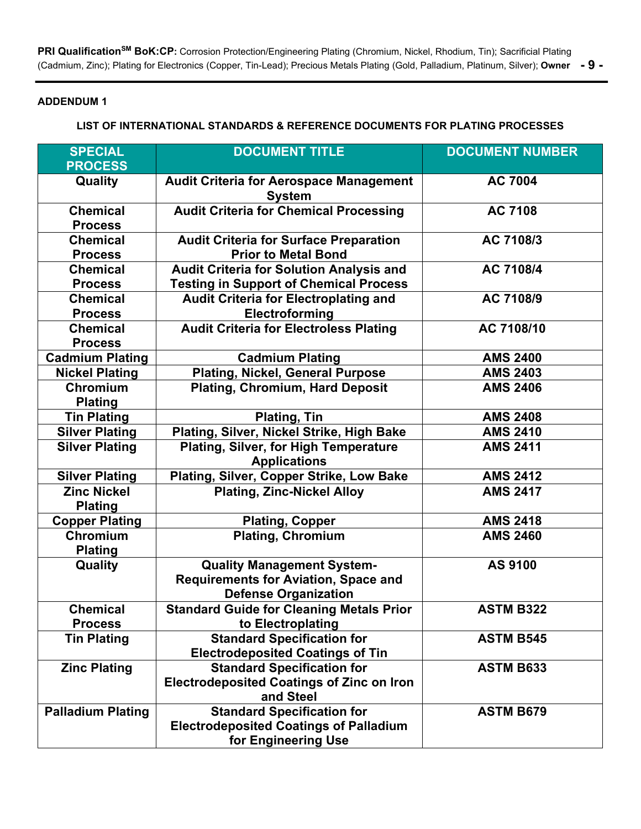**PRI QualificationSM BoK:CP:** Corrosion Protection/Engineering Plating (Chromium, Nickel, Rhodium, Tin); Sacrificial Plating (Cadmium, Zinc); Plating for Electronics (Copper, Tin-Lead); Precious Metals Plating (Gold, Palladium, Platinum, Silver); **Owner - 9 -**

## **ADDENDUM 1**

### **LIST OF INTERNATIONAL STANDARDS & REFERENCE DOCUMENTS FOR PLATING PROCESSES**

| <b>SPECIAL</b><br><b>PROCESS</b>                    | <b>DOCUMENT TITLE</b>                                                                                           | <b>DOCUMENT NUMBER</b>             |
|-----------------------------------------------------|-----------------------------------------------------------------------------------------------------------------|------------------------------------|
| Quality                                             | <b>Audit Criteria for Aerospace Management</b><br><b>System</b>                                                 | <b>AC 7004</b>                     |
| <b>Chemical</b><br><b>Process</b>                   | <b>Audit Criteria for Chemical Processing</b>                                                                   | <b>AC 7108</b>                     |
| <b>Chemical</b><br><b>Process</b>                   | <b>Audit Criteria for Surface Preparation</b><br><b>Prior to Metal Bond</b>                                     | AC 7108/3                          |
| <b>Chemical</b><br><b>Process</b>                   | <b>Audit Criteria for Solution Analysis and</b><br><b>Testing in Support of Chemical Process</b>                | AC 7108/4                          |
| <b>Chemical</b><br><b>Process</b>                   | <b>Audit Criteria for Electroplating and</b><br>Electroforming                                                  | AC 7108/9                          |
| <b>Chemical</b><br><b>Process</b>                   | <b>Audit Criteria for Electroless Plating</b>                                                                   | AC 7108/10                         |
| <b>Cadmium Plating</b>                              | <b>Cadmium Plating</b>                                                                                          | <b>AMS 2400</b>                    |
| <b>Nickel Plating</b><br>Chromium<br><b>Plating</b> | <b>Plating, Nickel, General Purpose</b><br><b>Plating, Chromium, Hard Deposit</b>                               | <b>AMS 2403</b><br><b>AMS 2406</b> |
| <b>Tin Plating</b>                                  | <b>Plating, Tin</b>                                                                                             | <b>AMS 2408</b>                    |
| <b>Silver Plating</b>                               | Plating, Silver, Nickel Strike, High Bake                                                                       | <b>AMS 2410</b>                    |
| <b>Silver Plating</b>                               | <b>Plating, Silver, for High Temperature</b><br><b>Applications</b>                                             | <b>AMS 2411</b>                    |
| <b>Silver Plating</b>                               | Plating, Silver, Copper Strike, Low Bake                                                                        | <b>AMS 2412</b>                    |
| <b>Zinc Nickel</b><br><b>Plating</b>                | <b>Plating, Zinc-Nickel Alloy</b>                                                                               | <b>AMS 2417</b>                    |
| <b>Copper Plating</b>                               | <b>Plating, Copper</b>                                                                                          | <b>AMS 2418</b>                    |
| Chromium<br><b>Plating</b>                          | <b>Plating, Chromium</b>                                                                                        | <b>AMS 2460</b>                    |
| Quality                                             | <b>Quality Management System-</b><br><b>Requirements for Aviation, Space and</b><br><b>Defense Organization</b> | AS 9100                            |
| <b>Chemical</b><br><b>Process</b>                   | <b>Standard Guide for Cleaning Metals Prior</b><br>to Electroplating                                            | <b>ASTM B322</b>                   |
| <b>Tin Plating</b>                                  | <b>Standard Specification for</b><br><b>Electrodeposited Coatings of Tin</b>                                    | <b>ASTM B545</b>                   |
| <b>Zinc Plating</b>                                 | <b>Standard Specification for</b><br><b>Electrodeposited Coatings of Zinc on Iron</b><br>and Steel              | <b>ASTM B633</b>                   |
| <b>Palladium Plating</b>                            | <b>Standard Specification for</b><br><b>Electrodeposited Coatings of Palladium</b><br>for Engineering Use       | <b>ASTM B679</b>                   |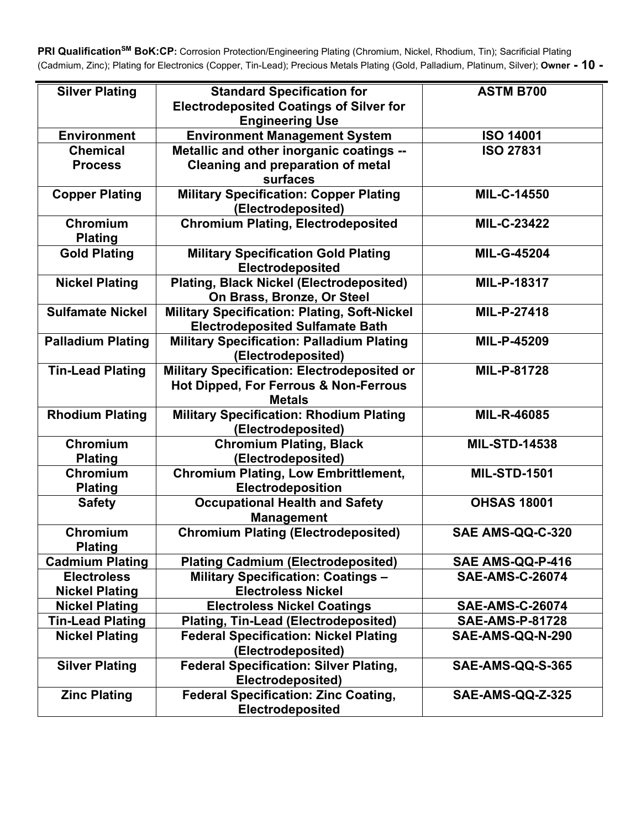PRI Qualification<sup>SM</sup> BoK:CP: Corrosion Protection/Engineering Plating (Chromium, Nickel, Rhodium, Tin); Sacrificial Plating (Cadmium, Zinc); Plating for Electronics (Copper, Tin-Lead); Precious Metals Plating (Gold, Palladium, Platinum, Silver); **Owner - 10 -**

| <b>Silver Plating</b>      | <b>Standard Specification for</b><br><b>Electrodeposited Coatings of Silver for</b> | <b>ASTM B700</b>        |
|----------------------------|-------------------------------------------------------------------------------------|-------------------------|
|                            | <b>Engineering Use</b>                                                              |                         |
| <b>Environment</b>         | <b>Environment Management System</b>                                                | <b>ISO 14001</b>        |
| <b>Chemical</b>            | Metallic and other inorganic coatings --                                            | <b>ISO 27831</b>        |
| <b>Process</b>             | <b>Cleaning and preparation of metal</b><br>surfaces                                |                         |
| <b>Copper Plating</b>      | <b>Military Specification: Copper Plating</b><br>(Electrodeposited)                 | MIL-C-14550             |
| Chromium<br><b>Plating</b> | <b>Chromium Plating, Electrodeposited</b>                                           | MIL-C-23422             |
| <b>Gold Plating</b>        | <b>Military Specification Gold Plating</b><br>Electrodeposited                      | <b>MIL-G-45204</b>      |
| <b>Nickel Plating</b>      | <b>Plating, Black Nickel (Electrodeposited)</b><br>On Brass, Bronze, Or Steel       | MIL-P-18317             |
| <b>Sulfamate Nickel</b>    | <b>Military Specification: Plating, Soft-Nickel</b>                                 | MIL-P-27418             |
|                            | <b>Electrodeposited Sulfamate Bath</b>                                              |                         |
| <b>Palladium Plating</b>   | <b>Military Specification: Palladium Plating</b>                                    | MIL-P-45209             |
|                            | (Electrodeposited)                                                                  |                         |
| <b>Tin-Lead Plating</b>    | Military Specification: Electrodeposited or                                         | MIL-P-81728             |
|                            | Hot Dipped, For Ferrous & Non-Ferrous                                               |                         |
|                            | <b>Metals</b>                                                                       |                         |
| <b>Rhodium Plating</b>     | <b>Military Specification: Rhodium Plating</b><br>(Electrodeposited)                | MIL-R-46085             |
| Chromium                   | <b>Chromium Plating, Black</b>                                                      | <b>MIL-STD-14538</b>    |
| <b>Plating</b>             | (Electrodeposited)                                                                  |                         |
| Chromium                   | <b>Chromium Plating, Low Embrittlement,</b>                                         | <b>MIL-STD-1501</b>     |
| <b>Plating</b>             | Electrodeposition                                                                   |                         |
| <b>Safety</b>              | <b>Occupational Health and Safety</b>                                               | <b>OHSAS 18001</b>      |
|                            | <b>Management</b>                                                                   |                         |
| Chromium<br><b>Plating</b> | <b>Chromium Plating (Electrodeposited)</b>                                          | <b>SAE AMS-QQ-C-320</b> |
| <b>Cadmium Plating</b>     | <b>Plating Cadmium (Electrodeposited)</b>                                           | SAE AMS-QQ-P-416        |
| <b>Electroless</b>         | <b>Military Specification: Coatings -</b>                                           | <b>SAE-AMS-C-26074</b>  |
| <b>Nickel Plating</b>      | <b>Electroless Nickel</b>                                                           |                         |
| <b>Nickel Plating</b>      | <b>Electroless Nickel Coatings</b>                                                  | <b>SAE-AMS-C-26074</b>  |
| <b>Tin-Lead Plating</b>    | <b>Plating, Tin-Lead (Electrodeposited)</b>                                         | <b>SAE-AMS-P-81728</b>  |
| <b>Nickel Plating</b>      | <b>Federal Specification: Nickel Plating</b>                                        | SAE-AMS-QQ-N-290        |
|                            | (Electrodeposited)                                                                  |                         |
| <b>Silver Plating</b>      | <b>Federal Specification: Silver Plating,</b>                                       | SAE-AMS-QQ-S-365        |
|                            | Electrodeposited)                                                                   |                         |
| <b>Zinc Plating</b>        | <b>Federal Specification: Zinc Coating,</b><br>Electrodeposited                     | SAE-AMS-QQ-Z-325        |